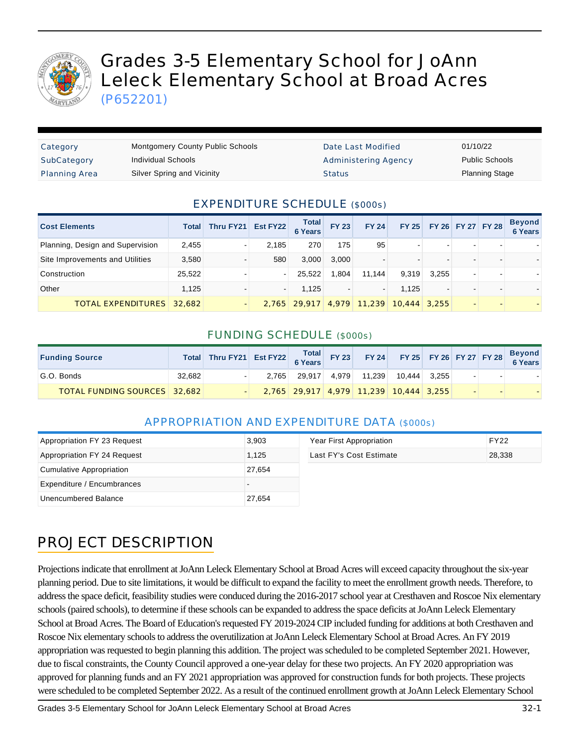

# Grades 3-5 Elementary School for JoAnn Leleck Elementary School at Broad Acres

(P652201)

| Category             | <b>Montgomery County Public Schools</b> | Date Last Modified   | 01/10/22              |
|----------------------|-----------------------------------------|----------------------|-----------------------|
| SubCategory          | Individual Schools                      | Administering Agency | <b>Public Schools</b> |
| <b>Planning Area</b> | Silver Spring and Vicinity              | <b>Status</b>        | <b>Planning Stage</b> |

### EXPENDITURE SCHEDULE (\$000s)

| <b>Cost Elements</b>             | <b>Total</b> | Thru FY21 Est FY22 |                          | <b>Total</b><br><b>6 Years</b> | <b>FY 23</b> | <b>FY 24</b> |                | FY 25 FY 26 FY 27 FY 28 |                          |   | <b>Beyond</b><br><b>6 Years</b> |
|----------------------------------|--------------|--------------------|--------------------------|--------------------------------|--------------|--------------|----------------|-------------------------|--------------------------|---|---------------------------------|
| Planning, Design and Supervision | 2.455        |                    | 2.185                    | 270                            | 175          | 95           |                |                         | $\overline{\phantom{0}}$ | - |                                 |
| Site Improvements and Utilities  | 3,580        |                    | 580                      | 3.000                          | 3.000        |              |                |                         | $\overline{\phantom{0}}$ | - |                                 |
| Construction                     | 25,522       |                    | $\overline{\phantom{a}}$ | 25.522                         | 1,804        | 11.144       | 9,319          | 3.255                   | $\overline{\phantom{a}}$ | - |                                 |
| Other                            | 1.125        |                    | $\overline{\phantom{a}}$ | 1.125                          |              |              | 1.125          |                         |                          | - |                                 |
| <b>TOTAL EXPENDITURES</b> 32,682 |              |                    |                          | $2.765$ 29.917                 |              | 4,979 11,239 | $10.444$ 3.255 |                         |                          | - |                                 |

#### FUNDING SCHEDULE (\$000s)

| <b>Funding Source</b>               |        | Total Thru FY21 Est FY22 Total FY 23 |       |              |                                        |                |  |        | FY 24 FY 25 FY 26 FY 27 FY 28 Beyond |
|-------------------------------------|--------|--------------------------------------|-------|--------------|----------------------------------------|----------------|--|--------|--------------------------------------|
| G.O. Bonds                          | 32.682 |                                      | 2.765 | 29.917 4.979 | 11.239                                 | $10.444$ 3.255 |  | $\sim$ |                                      |
| <b>TOTAL FUNDING SOURCES</b> 32.682 |        |                                      |       |              | 2,765 29,917 4,979 11,239 10,444 3,255 |                |  |        |                                      |

#### APPROPRIATION AND EXPENDITURE DATA (\$000s)

| Appropriation FY 23 Request | 3,903  | Year First Appropriation | <b>FY22</b> |
|-----------------------------|--------|--------------------------|-------------|
| Appropriation FY 24 Request | 1.125  | Last FY's Cost Estimate  | 28,338      |
| Cumulative Appropriation    | 27.654 |                          |             |
| Expenditure / Encumbrances  |        |                          |             |
| Unencumbered Balance        | 27,654 |                          |             |

## PROJECT DESCRIPTION

Projections indicate that enrollment at JoAnn Leleck Elementary School at Broad Acres will exceed capacity throughout the six-year planning period. Due to site limitations, it would be difficult to expand the facility to meet the enrollment growth needs. Therefore, to address the space deficit, feasibility studies were conduced during the 2016-2017 school year at Cresthaven and Roscoe Nix elementary schools (paired schools), to determine if these schools can be expanded to address the space deficits at JoAnn Leleck Elementary School at Broad Acres. The Board of Education's requested FY 2019-2024 CIP included funding for additions at both Cresthaven and Roscoe Nix elementary schools to address the overutilization at JoAnn Leleck Elementary School at Broad Acres. An FY 2019 appropriation was requested to begin planning this addition. The project was scheduled to be completed September 2021. However, due to fiscal constraints, the County Council approved a one-year delay for these two projects. An FY 2020 appropriation was approved for planning funds and an FY 2021 appropriation was approved for construction funds for both projects. These projects were scheduled to be completed September 2022. As a result of the continued enrollment growth at JoAnn Leleck Elementary School